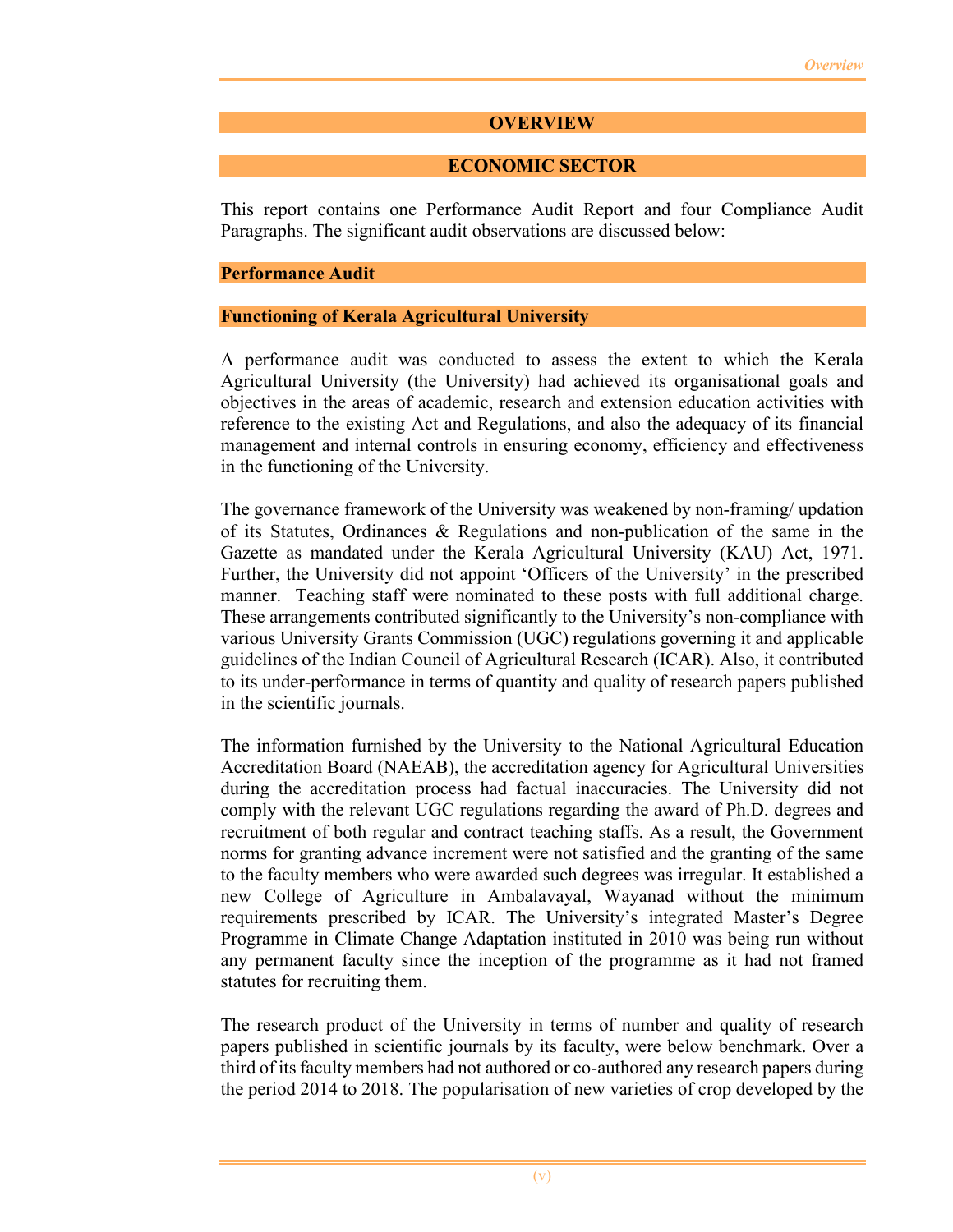### **OVERVIEW**

### **ECONOMIC SECTOR**

This report contains one Performance Audit Report and four Compliance Audit Paragraphs. The significant audit observations are discussed below:

#### **Performance Audit**

#### **Functioning of Kerala Agricultural University**

A performance audit was conducted to assess the extent to which the Kerala Agricultural University (the University) had achieved its organisational goals and objectives in the areas of academic, research and extension education activities with reference to the existing Act and Regulations, and also the adequacy of its financial management and internal controls in ensuring economy, efficiency and effectiveness in the functioning of the University.

The governance framework of the University was weakened by non-framing/ updation of its Statutes, Ordinances & Regulations and non-publication of the same in the Gazette as mandated under the Kerala Agricultural University (KAU) Act, 1971. Further, the University did not appoint 'Officers of the University' in the prescribed manner. Teaching staff were nominated to these posts with full additional charge. These arrangements contributed significantly to the University's non-compliance with various University Grants Commission (UGC) regulations governing it and applicable guidelines of the Indian Council of Agricultural Research (ICAR). Also, it contributed to its under-performance in terms of quantity and quality of research papers published in the scientific journals.

The information furnished by the University to the National Agricultural Education Accreditation Board (NAEAB), the accreditation agency for Agricultural Universities during the accreditation process had factual inaccuracies. The University did not comply with the relevant UGC regulations regarding the award of Ph.D. degrees and recruitment of both regular and contract teaching staffs. As a result, the Government norms for granting advance increment were not satisfied and the granting of the same to the faculty members who were awarded such degrees was irregular. It established a new College of Agriculture in Ambalavayal, Wayanad without the minimum requirements prescribed by ICAR. The University's integrated Master's Degree Programme in Climate Change Adaptation instituted in 2010 was being run without any permanent faculty since the inception of the programme as it had not framed statutes for recruiting them.

The research product of the University in terms of number and quality of research papers published in scientific journals by its faculty, were below benchmark. Over a third of its faculty members had not authored or co-authored any research papers during the period 2014 to 2018. The popularisation of new varieties of crop developed by the